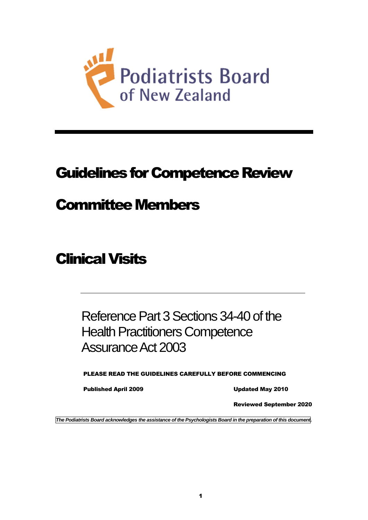

# Guidelines for Competence Review

## Committee Members

# Clinical Visits

## Reference Part 3 Sections 34-40 of the Health Practitioners Competence Assurance Act 2003

PLEASE READ THE GUIDELINES CAREFULLY BEFORE COMMENCING

Published April 2009 Updated May 2010

Reviewed September 2020

*The Podiatrists Board acknowledges the assistance of the Psychologists Board in the preparation of this document.*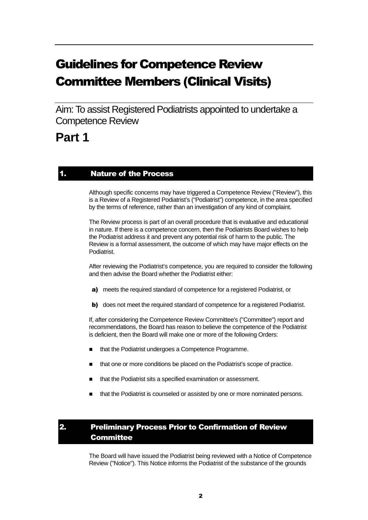## Guidelines for Competence Review Committee Members (Clinical Visits)

Aim: To assist Registered Podiatrists appointed to undertake a Competence Review

## **Part 1**

### 1. Nature of the Process

Although specific concerns may have triggered a Competence Review ("Review"), this is a Review of a Registered Podiatrist's ("Podiatrist") competence, in the area specified by the terms of reference, rather than an investigation of any kind of complaint.

The Review process is part of an overall procedure that is evaluative and educational in nature. If there is a competence concern, then the Podiatrists Board wishes to help the Podiatrist address it and prevent any potential risk of harm to the public. The Review is a formal assessment, the outcome of which may have major effects on the Podiatrist.

After reviewing the Podiatrist's competence, you are required to consider the following and then advise the Board whether the Podiatrist either:

- a) meets the required standard of competence for a registered Podiatrist, or
- b) does not meet the required standard of competence for a registered Podiatrist.

If, after considering the Competence Review Committee's ("Committee") report and recommendations, the Board has reason to believe the competence of the Podiatrist is deficient, then the Board will make one or more of the following Orders:

- that the Podiatrist undergoes a Competence Programme.
- that one or more conditions be placed on the Podiatrist's scope of practice.
- that the Podiatrist sits a specified examination or assessment.
- that the Podiatrist is counseled or assisted by one or more nominated persons.

## 2. Preliminary Process Prior to Confirmation of Review **Committee**

The Board will have issued the Podiatrist being reviewed with a Notice of Competence Review ("Notice"). This Notice informs the Podiatrist of the substance of the grounds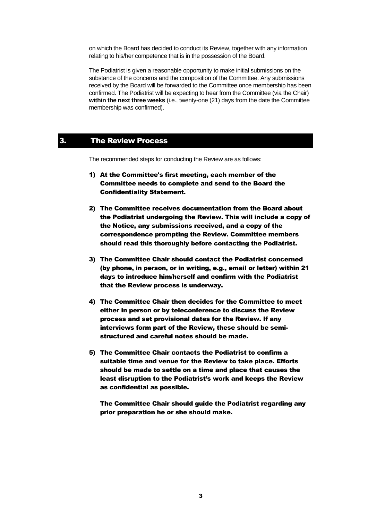on which the Board has decided to conduct its Review, together with any information relating to his/her competence that is in the possession of the Board.

The Podiatrist is given a reasonable opportunity to make initial submissions on the substance of the concerns and the composition of the Committee. Any submissions received by the Board will be forwarded to the Committee once membership has been confirmed. The Podiatrist will be expecting to hear from the Committee (via the Chair) **within the next three weeks** (i.e., twenty-one (21) days from the date the Committee membership was confirmed).

### 3. The Review Process

The recommended steps for conducting the Review are as follows:

- 1) At the Committee's first meeting, each member of the Committee needs to complete and send to the Board the Confidentiality Statement.
- 2) The Committee receives documentation from the Board about the Podiatrist undergoing the Review. This will include a copy of the Notice, any submissions received, and a copy of the correspondence prompting the Review. Committee members should read this thoroughly before contacting the Podiatrist.
- 3) The Committee Chair should contact the Podiatrist concerned (by phone, in person, or in writing, e.g., email or letter) within 21 days to introduce him/herself and confirm with the Podiatrist that the Review process is underway.
- 4) The Committee Chair then decides for the Committee to meet either in person or by teleconference to discuss the Review process and set provisional dates for the Review. If any interviews form part of the Review, these should be semistructured and careful notes should be made.
- 5) The Committee Chair contacts the Podiatrist to confirm a suitable time and venue for the Review to take place. Efforts should be made to settle on a time and place that causes the least disruption to the Podiatrist's work and keeps the Review as confidential as possible.

The Committee Chair should guide the Podiatrist regarding any prior preparation he or she should make.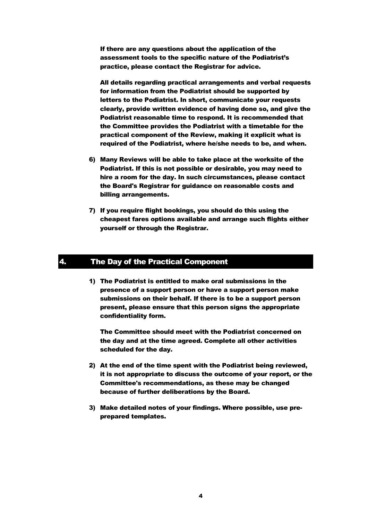If there are any questions about the application of the assessment tools to the specific nature of the Podiatrist's practice, please contact the Registrar for advice.

All details regarding practical arrangements and verbal requests for information from the Podiatrist should be supported by letters to the Podiatrist. In short, communicate your requests clearly, provide written evidence of having done so, and give the Podiatrist reasonable time to respond. It is recommended that the Committee provides the Podiatrist with a timetable for the practical component of the Review, making it explicit what is required of the Podiatrist, where he/she needs to be, and when.

- 6) Many Reviews will be able to take place at the worksite of the Podiatrist. If this is not possible or desirable, you may need to hire a room for the day. In such circumstances, please contact the Board's Registrar for guidance on reasonable costs and billing arrangements.
- 7) If you require flight bookings, you should do this using the cheapest fares options available and arrange such flights either yourself or through the Registrar.

## 4. The Day of the Practical Component

1) The Podiatrist is entitled to make oral submissions in the presence of a support person or have a support person make submissions on their behalf. If there is to be a support person present, please ensure that this person signs the appropriate confidentiality form.

The Committee should meet with the Podiatrist concerned on the day and at the time agreed. Complete all other activities scheduled for the day.

- 2) At the end of the time spent with the Podiatrist being reviewed, it is not appropriate to discuss the outcome of your report, or the Committee's recommendations, as these may be changed because of further deliberations by the Board.
- 3) Make detailed notes of your findings. Where possible, use preprepared templates.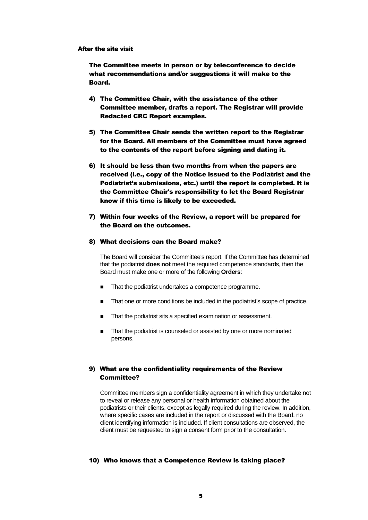#### After the site visit

The Committee meets in person or by teleconference to decide what recommendations and/or suggestions it will make to the Board.

- 4) The Committee Chair, with the assistance of the other Committee member, drafts a report. The Registrar will provide Redacted CRC Report examples.
- 5) The Committee Chair sends the written report to the Registrar for the Board. All members of the Committee must have agreed to the contents of the report before signing and dating it.
- 6) It should be less than two months from when the papers are received (i.e., copy of the Notice issued to the Podiatrist and the Podiatrist's submissions, etc.) until the report is completed. It is the Committee Chair's responsibility to let the Board Registrar know if this time is likely to be exceeded.
- 7) Within four weeks of the Review, a report will be prepared for the Board on the outcomes.

#### 8) What decisions can the Board make?

The Board will consider the Committee's report. If the Committee has determined that the podiatrist **does not** meet the required competence standards, then the Board must make one or more of the following **Orders**:

- That the podiatrist undertakes a competence programme.
- That one or more conditions be included in the podiatrist's scope of practice.
- That the podiatrist sits a specified examination or assessment.
- That the podiatrist is counseled or assisted by one or more nominated persons.

#### 9) What are the confidentiality requirements of the Review Committee?

Committee members sign a confidentiality agreement in which they undertake not to reveal or release any personal or health information obtained about the podiatrists or their clients, except as legally required during the review. In addition, where specific cases are included in the report or discussed with the Board, no client identifying information is included. If client consultations are observed, the client must be requested to sign a consent form prior to the consultation.

#### 10) Who knows that a Competence Review is taking place?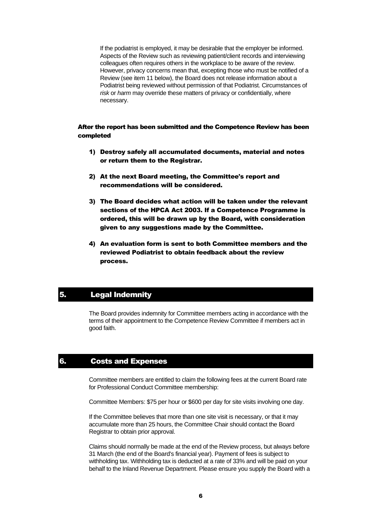If the podiatrist is employed, it may be desirable that the employer be informed. Aspects of the Review such as reviewing patient/client records and interviewing colleagues often requires others in the workplace to be aware of the review. However, privacy concerns mean that, excepting those who must be notified of a Review (see item 11 below), the Board does not release information about a Podiatrist being reviewed without permission of that Podiatrist. Circumstances of *risk* or *harm* may override these matters of privacy or confidentially, where necessary.

#### After the report has been submitted and the Competence Review has been completed

- 1) Destroy safely all accumulated documents, material and notes or return them to the Registrar.
- 2) At the next Board meeting, the Committee's report and recommendations will be considered.
- 3) The Board decides what action will be taken under the relevant sections of the HPCA Act 2003. If a Competence Programme is ordered, this will be drawn up by the Board, with consideration given to any suggestions made by the Committee.
- 4) An evaluation form is sent to both Committee members and the reviewed Podiatrist to obtain feedback about the review process.

### 5. Legal Indemnity

The Board provides indemnity for Committee members acting in accordance with the terms of their appointment to the Competence Review Committee if members act in good faith.

### 6. Costs and Expenses

Committee members are entitled to claim the following fees at the current Board rate for Professional Conduct Committee membership:

Committee Members: \$75 per hour or \$600 per day for site visits involving one day.

If the Committee believes that more than one site visit is necessary, or that it may accumulate more than 25 hours, the Committee Chair should contact the Board Registrar to obtain prior approval.

Claims should normally be made at the end of the Review process, but always before 31 March (the end of the Board's financial year). Payment of fees is subject to withholding tax. Withholding tax is deducted at a rate of 33% and will be paid on your behalf to the Inland Revenue Department. Please ensure you supply the Board with a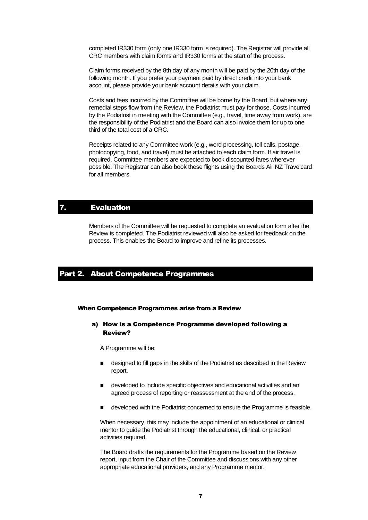completed IR330 form (only one IR330 form is required). The Registrar will provide all CRC members with claim forms and IR330 forms at the start of the process.

Claim forms received by the 8th day of any month will be paid by the 20th day of the following month. If you prefer your payment paid by direct credit into your bank account, please provide your bank account details with your claim.

Costs and fees incurred by the Committee will be borne by the Board, but where any remedial steps flow from the Review, the Podiatrist must pay for those. Costs incurred by the Podiatrist in meeting with the Committee (e.g., travel, time away from work), are the responsibility of the Podiatrist and the Board can also invoice them for up to one third of the total cost of a CRC.

Receipts related to any Committee work (e.g., word processing, toll calls, postage, photocopying, food, and travel) must be attached to each claim form. If air travel is required, Committee members are expected to book discounted fares wherever possible. The Registrar can also book these flights using the Boards Air NZ Travelcard for all members.

## 7. Evaluation

Members of the Committee will be requested to complete an evaluation form after the Review is completed. The Podiatrist reviewed will also be asked for feedback on the process. This enables the Board to improve and refine its processes.

### Part 2. About Competence Programmes

#### When Competence Programmes arise from a Review

#### a) How is a Competence Programme developed following a Review?

A Programme will be:

- designed to fill gaps in the skills of the Podiatrist as described in the Review report.
- developed to include specific objectives and educational activities and an agreed process of reporting or reassessment at the end of the process.
- developed with the Podiatrist concerned to ensure the Programme is feasible.

When necessary, this may include the appointment of an educational or clinical mentor to guide the Podiatrist through the educational, clinical, or practical activities required.

The Board drafts the requirements for the Programme based on the Review report, input from the Chair of the Committee and discussions with any other appropriate educational providers, and any Programme mentor.